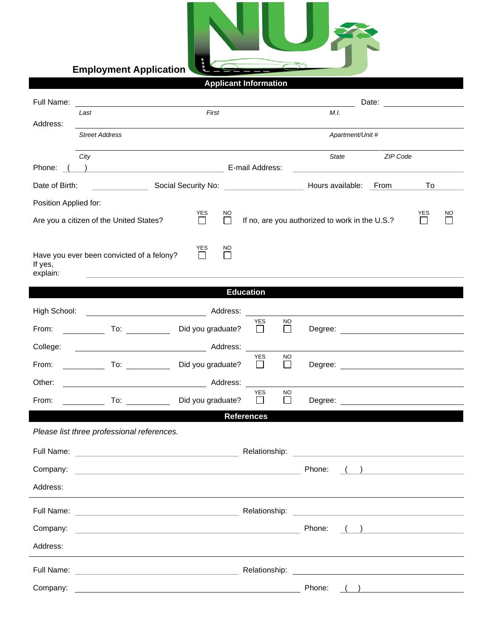

## **Applicant Information**

| Full Name:                        |                                                                                                                                                                                                                                      |                              |                 |                       |                     |                                                                                                                       |                  | Date:    |                                               |    |
|-----------------------------------|--------------------------------------------------------------------------------------------------------------------------------------------------------------------------------------------------------------------------------------|------------------------------|-----------------|-----------------------|---------------------|-----------------------------------------------------------------------------------------------------------------------|------------------|----------|-----------------------------------------------|----|
|                                   | Last                                                                                                                                                                                                                                 | First                        |                 |                       |                     | M.I.                                                                                                                  |                  |          |                                               |    |
| Address:<br><b>Street Address</b> |                                                                                                                                                                                                                                      |                              |                 |                       |                     |                                                                                                                       | Apartment/Unit # |          |                                               |    |
|                                   | City                                                                                                                                                                                                                                 |                              |                 |                       |                     |                                                                                                                       | State            | ZIP Code |                                               |    |
| Phone: (                          | <u>and the contract of the contract of the contract of the contract of the contract of the contract of the contract of the contract of the contract of the contract of the contract of the contract of the contract of the contr</u> |                              | E-mail Address: |                       |                     |                                                                                                                       |                  |          |                                               |    |
| Date of Birth:                    |                                                                                                                                                                                                                                      |                              |                 |                       |                     | Hours available: From                                                                                                 |                  |          | To                                            |    |
| Position Applied for:             |                                                                                                                                                                                                                                      |                              |                 |                       |                     |                                                                                                                       |                  |          |                                               |    |
|                                   | Are you a citizen of the United States?                                                                                                                                                                                              | YES<br>$\Box$                | NO<br>$\Box$    |                       |                     | If no, are you authorized to work in the U.S.?                                                                        |                  |          | YES<br>$\Box$                                 | NO |
| If yes,<br>explain:               | Have you ever been convicted of a felony?                                                                                                                                                                                            | <b>YES</b><br>$\mathbb{R}^n$ | NO              |                       |                     |                                                                                                                       |                  |          |                                               |    |
|                                   |                                                                                                                                                                                                                                      |                              |                 | <b>Education</b>      |                     |                                                                                                                       |                  |          |                                               |    |
| High School:                      |                                                                                                                                                                                                                                      |                              |                 |                       |                     |                                                                                                                       |                  |          |                                               |    |
| From:                             | $\overline{10}$ :                                                                                                                                                                                                                    | Did you graduate?            |                 | <b>YES</b><br>$\perp$ | NO.<br>П            |                                                                                                                       |                  |          | Degree: <u>_____________________</u>          |    |
| College:                          |                                                                                                                                                                                                                                      |                              | Address:        |                       |                     |                                                                                                                       |                  |          |                                               |    |
| From:                             |                                                                                                                                                                                                                                      | Did you graduate?            |                 | <b>YES</b><br>$\Box$  | NO<br>$\Box$        |                                                                                                                       |                  |          |                                               |    |
| Other:                            | Address:                                                                                                                                                                                                                             |                              |                 |                       |                     |                                                                                                                       |                  |          |                                               |    |
| From:                             | To: and the state of the state of the state of the state of the state of the state of the state of the state o                                                                                                                       | Did you graduate?            |                 | <b>YES</b>            | <b>NO</b><br>$\Box$ |                                                                                                                       |                  |          |                                               |    |
| <b>References</b>                 |                                                                                                                                                                                                                                      |                              |                 |                       |                     |                                                                                                                       |                  |          |                                               |    |
|                                   | Please list three professional references.                                                                                                                                                                                           |                              |                 |                       |                     |                                                                                                                       |                  |          |                                               |    |
| Full Name:                        |                                                                                                                                                                                                                                      |                              |                 | Relationship:         |                     |                                                                                                                       |                  |          |                                               |    |
| Company:                          | <u> 1989 - Johann Stein, marwolaethau a bhann an t-Amhainn an t-Amhainn an t-Amhainn an t-Amhainn an t-Amhainn an</u>                                                                                                                |                              |                 |                       |                     | Phone:                                                                                                                |                  |          | and the company of the company of the company |    |
| Address:                          |                                                                                                                                                                                                                                      |                              |                 |                       |                     |                                                                                                                       |                  |          |                                               |    |
|                                   |                                                                                                                                                                                                                                      |                              |                 |                       |                     |                                                                                                                       |                  |          |                                               |    |
| Company:                          | <u> 1989 - Johann Harry Harry Harry Harry Harry Harry Harry Harry Harry Harry Harry Harry Harry Harry Harry Harry</u>                                                                                                                |                              |                 |                       |                     | Phone:                                                                                                                |                  |          |                                               |    |
| Address:                          |                                                                                                                                                                                                                                      |                              |                 |                       |                     |                                                                                                                       |                  |          |                                               |    |
|                                   |                                                                                                                                                                                                                                      |                              |                 | Relationship:         |                     | <u> 1989 - Jan Sterlinger, skriuwer fan it ferstjer fan it ferstjer fan it ferstjer fan it ferstjer fan it ferstj</u> |                  |          |                                               |    |
| Company:                          | <u> 1989 - Johann Barn, fransk politik amerikansk politik (d. 1989)</u>                                                                                                                                                              |                              |                 |                       |                     | Phone:                                                                                                                |                  |          |                                               |    |